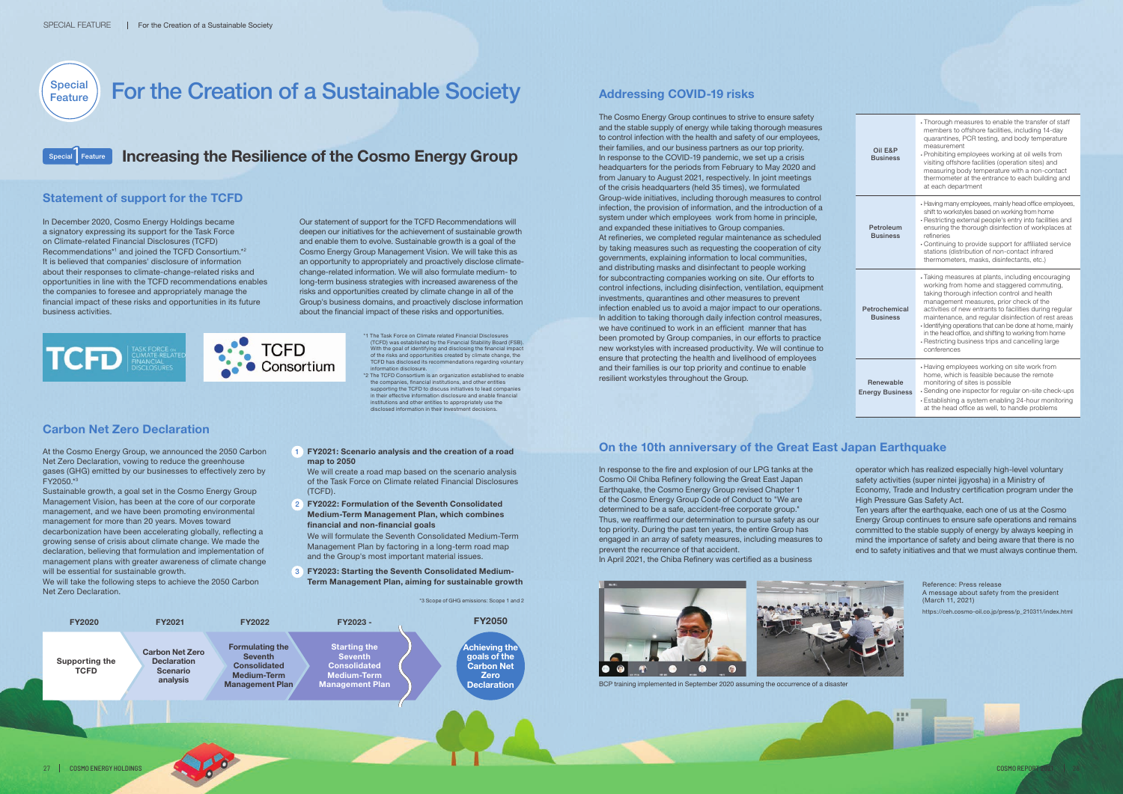# **For the Creation of a Sustainable Society** Addressing COVID-19 risks

# **Increasing the Resilience of the Cosmo Energy Group**

The Cosmo Energy Group continues to strive to ensure safety and the stable supply of energy while taking thorough measures to control infection with the health and safety of our employees, their families, and our business partners as our top priority. In response to the COVID-19 pandemic, we set up a crisis headquarters for the periods from February to May 2020 and from January to August 2021, respectively. In joint meetings of the crisis headquarters (held 35 times), we formulated Group-wide initiatives, including thorough measures to control infection, the provision of information, and the introduction of a system under which employees work from home in principle, and expanded these initiatives to Group companies. At refineries, we completed regular maintenance as scheduled by taking measures such as requesting the cooperation of city governments, explaining information to local communities, and distributing masks and disinfectant to people working for subcontracting companies working on site. Our efforts to control infections, including disinfection, ventilation, equipment investments, quarantines and other measures to prevent infection enabled us to avoid a major impact to our operations. In addition to taking thorough daily infection control measures, we have continued to work in an efficient manner that has been promoted by Group companies, in our efforts to practice new workstyles with increased productivity. We will continue to ensure that protecting the health and livelihood of employees and their families is our top priority and continue to enable resilient workstyles throughout the Group.

We will create a road map based on the scenario analysis of the Task Force on Climate related Financial Disclosures (TCFD).

| Oil E&P<br><b>Business</b>          | • Thorough measures to enable the transfer of staff<br>members to offshore facilities, including 14-day<br>quarantines, PCR testing, and body temperature<br>measurement<br>• Prohibiting employees working at oil wells from<br>visiting offshore facilities (operation sites) and<br>measuring body temperature with a non-contact<br>thermometer at the entrance to each building and<br>at each department                                                                                          |
|-------------------------------------|---------------------------------------------------------------------------------------------------------------------------------------------------------------------------------------------------------------------------------------------------------------------------------------------------------------------------------------------------------------------------------------------------------------------------------------------------------------------------------------------------------|
| Petroleum<br><b>Business</b>        | • Having many employees, mainly head office employees,<br>shift to workstyles based on working from home<br>• Restricting external people's entry into facilities and<br>ensuring the thorough disinfection of workplaces at<br>refineries<br>• Continuing to provide support for affiliated service<br>stations (distribution of non-contact infrared<br>thermometers, masks, disinfectants, etc.)                                                                                                     |
| Petrochemical<br><b>Business</b>    | • Taking measures at plants, including encouraging<br>working from home and staggered commuting,<br>taking thorough infection control and health<br>management measures, prior check of the<br>activities of new entrants to facilities during regular<br>maintenance, and regular disinfection of rest areas<br>· Identifying operations that can be done at home, mainly<br>in the head office, and shifting to working from home<br>• Restricting business trips and cancelling large<br>conferences |
| Renewable<br><b>Energy Business</b> | • Having employees working on site work from<br>home, which is feasible because the remote<br>monitoring of sites is possible<br>• Sending one inspector for regular on-site check-ups<br>• Establishing a system enabling 24-hour monitoring<br>at the head office as well, to handle problems                                                                                                                                                                                                         |

\*3 Scope of GHG emissions: Scope 1 and 2



\*1 The Task Force on Climate related Financial Disclosure (TCFD) was established by the Financial Stability Board (FSB). With the goal of identifying and disclosing the financial impact of the risks and opportunities created by climate change, the<br>TCFD has disclosed its recommendations regarding voluntary TCFD has disclosed its recommendations regarding voluntary information disclosure.

\*2 The TCFD Consortium is an organization established to enable the companies, financial institutions, and other entities supporting the TCFD to discuss initiatives to lead compani in their effective information disclosure and enable financial institutions and other entities to appropriately use the disclosed information in their investment decis

### **Carbon Net Zero Declaration**

At the Cosmo Energy Group, we announced the 2050 Carbon Net Zero Declaration, vowing to reduce the greenhouse gases (GHG) emitted by our businesses to effectively zero by FY2050.\*3

Sustainable growth, a goal set in the Cosmo Energy Group Management Vision, has been at the core of our corporate management, and we have been promoting environmental management for more than 20 years. Moves toward decarbonization have been accelerating globally, reflecting a growing sense of crisis about climate change. We made the declaration, believing that formulation and implementation of management plans with greater awareness of climate change will be essential for sustainable growth.

**Special** Feature

We will take the following steps to achieve the 2050 Carbon Net Zero Declaration.

1 **FY2021: Scenario analysis and the creation of a road map to 2050**

2 **FY2022: Formulation of the Seventh Consolidated Medium-Term Management Plan, which combines financial and non-financial goals**

We will formulate the Seventh Consolidated Medium-Term Management Plan by factoring in a long-term road map and the Group's most important material issues.

3 **FY2023: Starting the Seventh Consolidated Medium-Term Management Plan, aiming for sustainable growth**

#### **On the 10th anniversary of the Great East Japan Earthquake**

In response to the fire and explosion of our LPG tanks at the Cosmo Oil Chiba Refinery following the Great East Japan Earthquake, the Cosmo Energy Group revised Chapter 1 of the Cosmo Energy Group Code of Conduct to "We are determined to be a safe, accident-free corporate group." Thus, we reaffirmed our determination to pursue safety as our top priority. During the past ten years, the entire Group has engaged in an array of safety measures, including measures to prevent the recurrence of that accident.

In April 2021, the Chiba Refinery was certified as a business





Reference: Press release A message about safety from the president (March 11, 2021)

operator which has realized especially high-level voluntary safety activities (super nintei jigyosha) in a Ministry of Economy, Trade and Industry certification program under the High Pressure Gas Safety Act.

Ten years after the earthquake, each one of us at the Cosmo Energy Group continues to ensure safe operations and remains committed to the stable supply of energy by always keeping in mind the importance of safety and being aware that there is no end to safety initiatives and that we must always continue them.



https://ceh.cosmo-oil.co.jp/press/p\_210311/index.html

BCP training implemented in September 2020 assuming the occurrence of a disaster

### **Statement of support for the TCFD**

In December 2020, Cosmo Energy Holdings became a signatory expressing its support for the Task Force on Climate-related Financial Disclosures (TCFD) Recommendations<sup>\*1</sup> and joined the TCFD Consortium.<sup>\*2</sup> It is believed that companies' disclosure of information about their responses to climate-change-related risks and opportunities in line with the TCFD recommendations enables the companies to foresee and appropriately manage the financial impact of these risks and opportunities in its future business activities.

Our statement of support for the TCFD Recommendations will deepen our initiatives for the achievement of sustainable growth and enable them to evolve. Sustainable growth is a goal of the Cosmo Energy Group Management Vision. We will take this as an opportunity to appropriately and proactively disclose climatechange-related information. We will also formulate medium- to long-term business strategies with increased awareness of the risks and opportunities created by climate change in all of the Group's business domains, and proactively disclose information about the financial impact of these risks and opportunities.